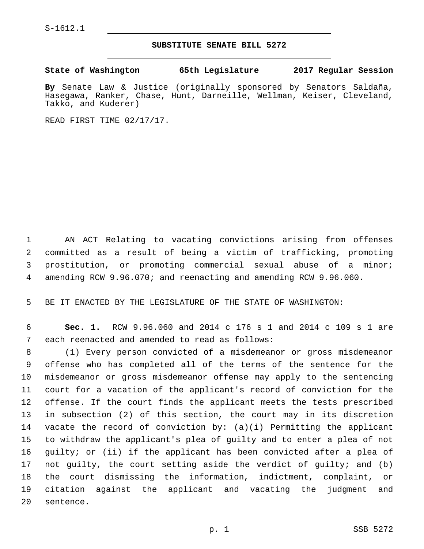## **SUBSTITUTE SENATE BILL 5272**

**State of Washington 65th Legislature 2017 Regular Session**

**By** Senate Law & Justice (originally sponsored by Senators Saldaña, Hasegawa, Ranker, Chase, Hunt, Darneille, Wellman, Keiser, Cleveland, Takko, and Kuderer)

READ FIRST TIME 02/17/17.

 AN ACT Relating to vacating convictions arising from offenses committed as a result of being a victim of trafficking, promoting prostitution, or promoting commercial sexual abuse of a minor; amending RCW 9.96.070; and reenacting and amending RCW 9.96.060.

BE IT ENACTED BY THE LEGISLATURE OF THE STATE OF WASHINGTON:

 **Sec. 1.** RCW 9.96.060 and 2014 c 176 s 1 and 2014 c 109 s 1 are 7 each reenacted and amended to read as follows:

 (1) Every person convicted of a misdemeanor or gross misdemeanor offense who has completed all of the terms of the sentence for the misdemeanor or gross misdemeanor offense may apply to the sentencing court for a vacation of the applicant's record of conviction for the offense. If the court finds the applicant meets the tests prescribed in subsection (2) of this section, the court may in its discretion vacate the record of conviction by: (a)(i) Permitting the applicant to withdraw the applicant's plea of guilty and to enter a plea of not guilty; or (ii) if the applicant has been convicted after a plea of not guilty, the court setting aside the verdict of guilty; and (b) the court dismissing the information, indictment, complaint, or citation against the applicant and vacating the judgment and 20 sentence.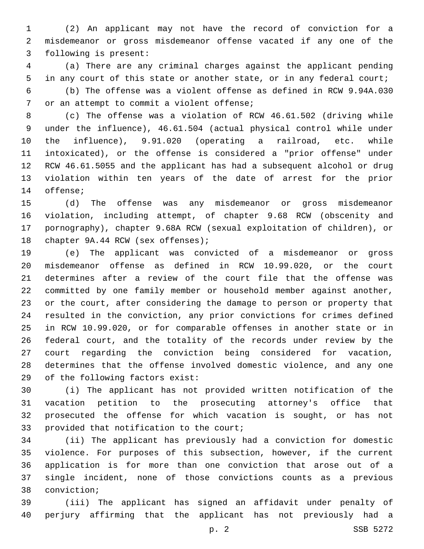(2) An applicant may not have the record of conviction for a misdemeanor or gross misdemeanor offense vacated if any one of the 3 following is present:

 (a) There are any criminal charges against the applicant pending in any court of this state or another state, or in any federal court; (b) The offense was a violent offense as defined in RCW 9.94A.030 7 or an attempt to commit a violent offense;

 (c) The offense was a violation of RCW 46.61.502 (driving while under the influence), 46.61.504 (actual physical control while under the influence), 9.91.020 (operating a railroad, etc. while intoxicated), or the offense is considered a "prior offense" under RCW 46.61.5055 and the applicant has had a subsequent alcohol or drug violation within ten years of the date of arrest for the prior 14 offense;

 (d) The offense was any misdemeanor or gross misdemeanor violation, including attempt, of chapter 9.68 RCW (obscenity and pornography), chapter 9.68A RCW (sexual exploitation of children), or 18 chapter 9A.44 RCW (sex offenses);

 (e) The applicant was convicted of a misdemeanor or gross misdemeanor offense as defined in RCW 10.99.020, or the court determines after a review of the court file that the offense was committed by one family member or household member against another, or the court, after considering the damage to person or property that resulted in the conviction, any prior convictions for crimes defined in RCW 10.99.020, or for comparable offenses in another state or in federal court, and the totality of the records under review by the court regarding the conviction being considered for vacation, determines that the offense involved domestic violence, and any one 29 of the following factors exist:

 (i) The applicant has not provided written notification of the vacation petition to the prosecuting attorney's office that prosecuted the offense for which vacation is sought, or has not 33 provided that notification to the court;

 (ii) The applicant has previously had a conviction for domestic violence. For purposes of this subsection, however, if the current application is for more than one conviction that arose out of a single incident, none of those convictions counts as a previous 38 conviction;

 (iii) The applicant has signed an affidavit under penalty of perjury affirming that the applicant has not previously had a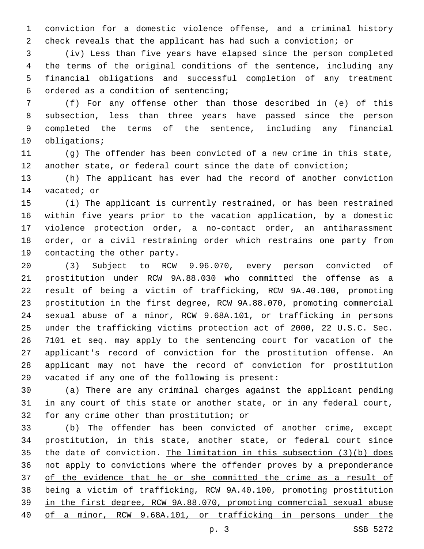conviction for a domestic violence offense, and a criminal history check reveals that the applicant has had such a conviction; or

 (iv) Less than five years have elapsed since the person completed the terms of the original conditions of the sentence, including any financial obligations and successful completion of any treatment ordered as a condition of sentencing;6

 (f) For any offense other than those described in (e) of this subsection, less than three years have passed since the person completed the terms of the sentence, including any financial 10 obligations;

 (g) The offender has been convicted of a new crime in this state, another state, or federal court since the date of conviction;

 (h) The applicant has ever had the record of another conviction 14 vacated; or

 (i) The applicant is currently restrained, or has been restrained within five years prior to the vacation application, by a domestic violence protection order, a no-contact order, an antiharassment order, or a civil restraining order which restrains one party from 19 contacting the other party.

 (3) Subject to RCW 9.96.070, every person convicted of prostitution under RCW 9A.88.030 who committed the offense as a result of being a victim of trafficking, RCW 9A.40.100, promoting prostitution in the first degree, RCW 9A.88.070, promoting commercial sexual abuse of a minor, RCW 9.68A.101, or trafficking in persons under the trafficking victims protection act of 2000, 22 U.S.C. Sec. 7101 et seq. may apply to the sentencing court for vacation of the applicant's record of conviction for the prostitution offense. An applicant may not have the record of conviction for prostitution 29 vacated if any one of the following is present:

 (a) There are any criminal charges against the applicant pending in any court of this state or another state, or in any federal court, 32 for any crime other than prostitution; or

 (b) The offender has been convicted of another crime, except prostitution, in this state, another state, or federal court since the date of conviction. The limitation in this subsection (3)(b) does not apply to convictions where the offender proves by a preponderance 37 of the evidence that he or she committed the crime as a result of being a victim of trafficking, RCW 9A.40.100, promoting prostitution in the first degree, RCW 9A.88.070, promoting commercial sexual abuse of a minor, RCW 9.68A.101, or trafficking in persons under the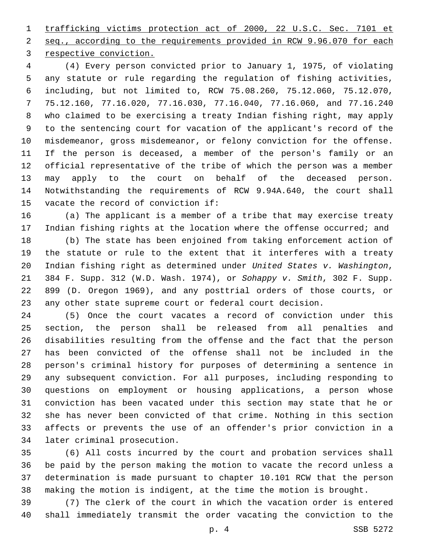trafficking victims protection act of 2000, 22 U.S.C. Sec. 7101 et seq., according to the requirements provided in RCW 9.96.070 for each 3 respective conviction.

 (4) Every person convicted prior to January 1, 1975, of violating any statute or rule regarding the regulation of fishing activities, including, but not limited to, RCW 75.08.260, 75.12.060, 75.12.070, 75.12.160, 77.16.020, 77.16.030, 77.16.040, 77.16.060, and 77.16.240 who claimed to be exercising a treaty Indian fishing right, may apply to the sentencing court for vacation of the applicant's record of the misdemeanor, gross misdemeanor, or felony conviction for the offense. If the person is deceased, a member of the person's family or an official representative of the tribe of which the person was a member may apply to the court on behalf of the deceased person. Notwithstanding the requirements of RCW 9.94A.640, the court shall 15 vacate the record of conviction if:

 (a) The applicant is a member of a tribe that may exercise treaty Indian fishing rights at the location where the offense occurred; and

 (b) The state has been enjoined from taking enforcement action of the statute or rule to the extent that it interferes with a treaty Indian fishing right as determined under *United States v. Washington*, 384 F. Supp. 312 (W.D. Wash. 1974), or *Sohappy v. Smith*, 302 F. Supp. 899 (D. Oregon 1969), and any posttrial orders of those courts, or any other state supreme court or federal court decision.

 (5) Once the court vacates a record of conviction under this section, the person shall be released from all penalties and disabilities resulting from the offense and the fact that the person has been convicted of the offense shall not be included in the person's criminal history for purposes of determining a sentence in any subsequent conviction. For all purposes, including responding to questions on employment or housing applications, a person whose conviction has been vacated under this section may state that he or she has never been convicted of that crime. Nothing in this section affects or prevents the use of an offender's prior conviction in a 34 later criminal prosecution.

 (6) All costs incurred by the court and probation services shall be paid by the person making the motion to vacate the record unless a determination is made pursuant to chapter 10.101 RCW that the person making the motion is indigent, at the time the motion is brought.

 (7) The clerk of the court in which the vacation order is entered shall immediately transmit the order vacating the conviction to the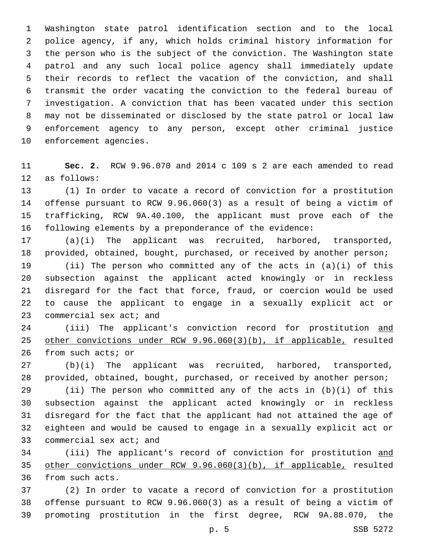Washington state patrol identification section and to the local police agency, if any, which holds criminal history information for the person who is the subject of the conviction. The Washington state patrol and any such local police agency shall immediately update their records to reflect the vacation of the conviction, and shall transmit the order vacating the conviction to the federal bureau of investigation. A conviction that has been vacated under this section may not be disseminated or disclosed by the state patrol or local law enforcement agency to any person, except other criminal justice 10 enforcement agencies.

 **Sec. 2.** RCW 9.96.070 and 2014 c 109 s 2 are each amended to read 12 as follows:

 (1) In order to vacate a record of conviction for a prostitution offense pursuant to RCW 9.96.060(3) as a result of being a victim of trafficking, RCW 9A.40.100, the applicant must prove each of the following elements by a preponderance of the evidence:

 (a)(i) The applicant was recruited, harbored, transported, provided, obtained, bought, purchased, or received by another person;

 (ii) The person who committed any of the acts in (a)(i) of this subsection against the applicant acted knowingly or in reckless disregard for the fact that force, fraud, or coercion would be used to cause the applicant to engage in a sexually explicit act or 23 commercial sex act; and

 (iii) The applicant's conviction record for prostitution and other convictions under RCW 9.96.060(3)(b), if applicable, resulted 26 from such acts; or

 (b)(i) The applicant was recruited, harbored, transported, provided, obtained, bought, purchased, or received by another person;

 (ii) The person who committed any of the acts in (b)(i) of this subsection against the applicant acted knowingly or in reckless disregard for the fact that the applicant had not attained the age of eighteen and would be caused to engage in a sexually explicit act or 33 commercial sex act; and

34 (iii) The applicant's record of conviction for prostitution and other convictions under RCW 9.96.060(3)(b), if applicable, resulted 36 from such acts.

 (2) In order to vacate a record of conviction for a prostitution offense pursuant to RCW 9.96.060(3) as a result of being a victim of promoting prostitution in the first degree, RCW 9A.88.070, the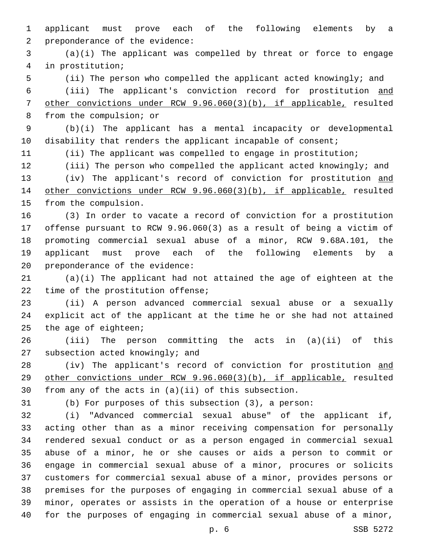applicant must prove each of the following elements by a 2 preponderance of the evidence:

 (a)(i) The applicant was compelled by threat or force to engage in prostitution;4

(ii) The person who compelled the applicant acted knowingly; and

 (iii) The applicant's conviction record for prostitution and other convictions under RCW 9.96.060(3)(b), if applicable, resulted 8 from the compulsion; or

 (b)(i) The applicant has a mental incapacity or developmental 10 disability that renders the applicant incapable of consent;

(ii) The applicant was compelled to engage in prostitution;

 (iii) The person who compelled the applicant acted knowingly; and 13 (iv) The applicant's record of conviction for prostitution and other convictions under RCW 9.96.060(3)(b), if applicable, resulted 15 from the compulsion.

 (3) In order to vacate a record of conviction for a prostitution offense pursuant to RCW 9.96.060(3) as a result of being a victim of promoting commercial sexual abuse of a minor, RCW 9.68A.101, the applicant must prove each of the following elements by a 20 preponderance of the evidence:

 (a)(i) The applicant had not attained the age of eighteen at the 22 time of the prostitution offense;

 (ii) A person advanced commercial sexual abuse or a sexually explicit act of the applicant at the time he or she had not attained the age of eighteen;

 (iii) The person committing the acts in (a)(ii) of this 27 subsection acted knowingly; and

28 (iv) The applicant's record of conviction for prostitution and other convictions under RCW 9.96.060(3)(b), if applicable, resulted from any of the acts in (a)(ii) of this subsection.

(b) For purposes of this subsection (3), a person:

 (i) "Advanced commercial sexual abuse" of the applicant if, acting other than as a minor receiving compensation for personally rendered sexual conduct or as a person engaged in commercial sexual abuse of a minor, he or she causes or aids a person to commit or engage in commercial sexual abuse of a minor, procures or solicits customers for commercial sexual abuse of a minor, provides persons or premises for the purposes of engaging in commercial sexual abuse of a minor, operates or assists in the operation of a house or enterprise for the purposes of engaging in commercial sexual abuse of a minor,